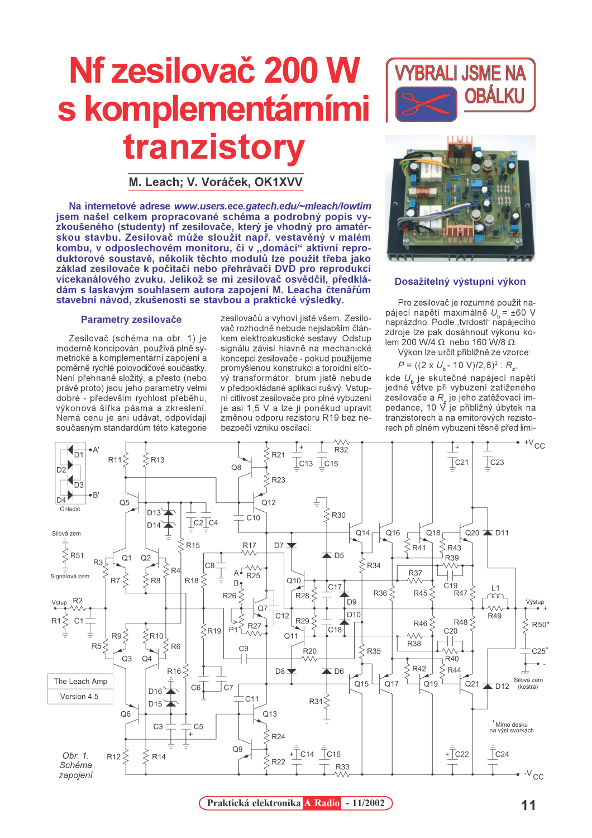# Nf zesilovač 200 W s komplementárním tranzistory

M. Leach; V. Voráček, OK1XVV

Na internetové adrese www.users.ece.gatech.edu/~mleach/lowtim jsem našel celkem propracované schéma a podrobný popis vyzkoušeného (studenty) nf zesilovače, který je vhodný pro amatérskou stavbu. Zesilovač může sloužit např. vestavěný v malém kombu, v odposlechovém monitoru, či v "domácí" aktivní reproduktorové soustavě, několik těchto modulů lze použít třeba jako základ zesilovače k počítači nebo přehrávači DVD pro reprodukci vícekanálového zvuku. Jelikož se mi zesilovač osvědčil, předkládám s laskavým souhlasem autora zapojení M. Leacha čtenářům stavební návod, zkušenosti se stavbou a praktické výsledky.

## **Parametry zesilovače**

Zesilovač (schéma na obr. 1) je moderně koncipován, používá plně symetrické a komplementární zapojení a poměrně rychlé polovodičové součástky. Není přehnaně složitý, a přesto (nebo právě proto) jsou jeho parametry velmi dobré - především rychlost přeběhu, výkonová šířka pásma a zkreslení. Nemá cenu je ani udávat, odpovídají současným standardům této kategorie

zesilovačů a vyhoví jistě všem. Zesilovač rozhodně nebude nejslabším článkem elektroakustické sestavy. Odstup signálu závisí hlavně na mechanické koncepci zesilovače - pokud použijeme promyšlenou konstrukci a toroidní síťový transformátor, brum jistě nebude v předpokládané aplikaci rušivý. Vstupní citlivost zesilovače pro plné vybuzení je asi 1,5 V a lze ji poněkud upravit změnou odporu rezistoru R19 bez nebezpečí vzniku oscilací.





#### Dosažitelný výstupní výkon

Pro zesilovač je rozumné použít napájecí napětí maximálně U = ±60 V naprázdno. Podle "tvrdosti" napájecího zdroje lze pak dosáhnout výkonu kolem 200 W/4  $\Omega$  nebo 160 W/8  $\Omega$ .

Výkon lze určit přibližně ze vzorce:

 $P = ((2 \times U_{b} - 10 \text{ V})/2,8)^{2}$ : R<sub>z</sub>,

kde U, je skutečné napájecí napětí jedné větve při vybuzení zatíženého zesilovače a R, je jeho zatěžovací impedance, 10 V je přibližný úbytek na tranzistorech a na emitorových rezistorech při plném vybuzení těsně před limi-



Praktická elektronika A Radio - 11/2002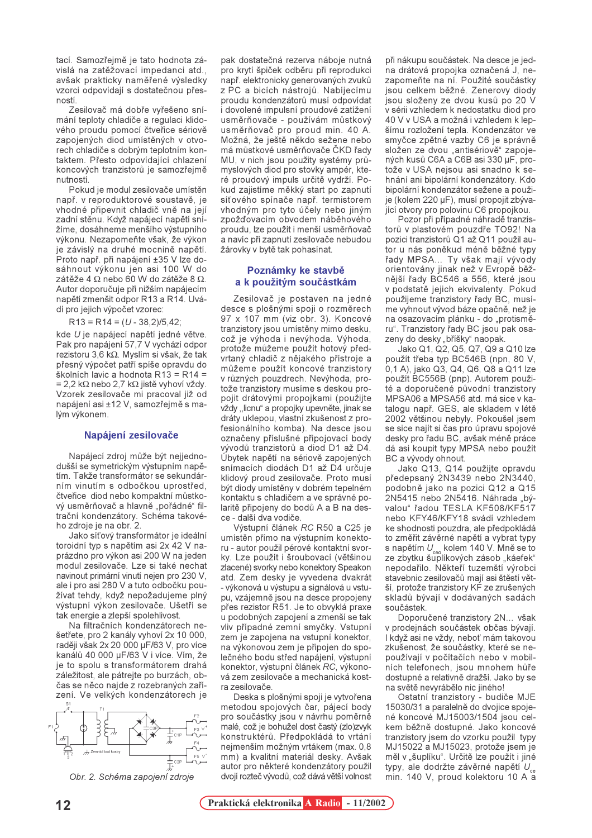tací. Samozřejmě je tato hodnota závislá na zatěžovací impedanci atd. avšak prakticky naměřené výsledky vzorci odpovídají s dostatečnou přesností

Zesilovač má dobře vyřešeno snímání teploty chladiče a regulaci klidového proudu pomocí čtveřice sériově zapojených diod umístěných v otvorech chladiče s dobrým teplotním kontaktem. Přesto odpovídající chlazení koncových tranzistorů je samozřejmě nutností

Pokud je modul zesilovače umístěn např. v reproduktorové soustavě, je vhodné připevnit chladič vně na její zadní stěnu. Když napájecí napětí snížíme, dosáhneme menšího výstupního výkonu. Nezapomeňte však, že výkon je závislý na druhé mocnině napětí. Proto např. při napájení ±35 V lze dosáhnout výkonu jen asi 100 W do zátěže 4  $\Omega$  nebo 60 W do zátěže 8  $\Omega$ . Autor doporučuje při nižším napájecím napětí zmenšit odpor R13 a R14. Uvádí pro jejich výpočet vzorec:

 $R13 = R14 = (U - 38,2)/5,42;$ 

kde U je napájecí napětí jedné větve. Pak pro napájení 57,7 V vychází odpor rezistoru 3,6 kΩ. Myslím si však, že tak přesný výpočet patří spíše opravdu do školních lavic a hodnota R13 = R14 = = 2,2 k $\Omega$  nebo 2,7 k $\Omega$  jistě vyhoví vždy. Vzorek zesilovače mi pracoval již od napájení asi ±12 V, samozřejmě s malým výkonem.

#### Napájení zesilovače

Napájecí zdroj může být nejjednodušší se symetrickým výstupním napětím. Takže transformátor se sekundárním vinutím s odbočkou uprostřed. čtveřice diod nebo kompaktní můstkový usměrňovač a hlavně "pořádné" filtrační kondenzátory. Schéma takového zdroje je na obr. 2.

Jako síťový transformátor je ideální toroidní typ s napětím asi 2x 42 V naprázdno pro výkon asi 200 W na jeden modul zesilovače. Lze si také nechat navinout primární vinutí nejen pro 230 V. ale i pro asi 280 V a tuto odbočku používat tehdy, když nepožadujeme plný výstupní výkon zesilovače. Ušetří se tak energie a zlepší spolehlivost.

Na filtračních kondenzátorech nešetřete, pro 2 kanály vyhoví 2x 10 000, raději však 2x 20 000 µF/63 V, pro více kanálů 40 000 µF/63 V i více. Vím, že je to spolu s transformátorem drahá záležitost, ale pátrejte po burzách, občas se něco naide z rozebraných zařízení. Ve velkých kondenzátorech je



Obr. 2. Schéma zapojení zdroje

pak dostatečná rezerva náboje nutná pro krytí špiček odběru při reprodukci např. elektronicky generovaných zvuků z PC a bicích nástrojů. Nabíjecímu proudu kondenzátorů musí odpovídat i dovolené impulsní proudové zatížení usměrňovače - používám můstkový usměrňovač pro proud min. 40 A. Možná, že ještě někdo sežene nebo má můstkové usměrňovače ČKD řady MU, v nich jsou použity systémy průmyslových diod pro stovky ampér, které proudový impuls určitě vydrží. Pokud zajistíme měkký start po zapnutí síťového spínače např. termistorem vhodným pro tyto účely nebo jiným zpožďovacím obvodem náběhového proudu, lze použít i menší usměrňovač a navíc při zapnutí zesilovače nebudou žárovky v bytě tak pohasínat.

# Poznámky ke stavbě a k použitým součástkám

Zesilovač je postaven na jedné desce s plošnými spoji o rozměrech 97 x 107 mm (viz obr. 3). Koncové tranzistory jsou umístěny mimo desku, což je výhoda i nevýhoda. Výhoda, protože můžeme použít hotový předvrtaný chladič z nějakého přístroje a můžeme použít koncové tranzistory v různých pouzdrech. Nevýhoda, protože tranzistory musíme s deskou propojit drátovými propojkami (použijte vždy "licnu" a propojky upevněte, jinak se dráty uklepou, vlastní zkušenost z profesionálního komba). Na desce jsou označeny příslušné připojovací body vývodů tranzistorů a diod D1 až D4. Úbytek napětí na sériově zapojených snímacích diodách D1 až D4 určuje klidový proud zesilovače. Proto musí být diody umístěny v dobrém tepelném kontaktu s chladičem a ve správné polaritě připojeny do bodů A a B na desce - další dva vodiče.

Výstupní článek RC R50 a C25 je umístěn přímo na výstupním konektoru - autor použil pérové kontaktní svorky. Lze použít i šroubovací (většinou zlacené) svorky nebo konektory Speakon atd. Zem desky je vyvedena dvakrát - výkonová u výstupu a signálová u vstupu, vzájemně jsou na desce propojeny přes rezistor R51. Je to obvyklá praxe u podobných zapojení a zmenší se tak vliv případné zemní smyčky. Vstupní zem je zapojena na vstupní konektor, na výkonovou zem je připojen do společného bodu střed napájení, výstupní konektor, výstupní článek RC, výkonová zem zesilovače a mechanická kostra zesilovače.

Deska s plošnými spoji je vytvořena metodou spojových čar, pájecí body pro součástky jsou v návrhu poměrně malé, což je bohužel dost častý (zlo)zvyk konstruktérů. Předpokládá to vrtání nejmenším možným vrtákem (max. 0,8 mm) a kvalitní materiál desky. Avšak autor pro některé kondenzátory použil dvojí rozteč vývodů, což dává větší volnost při nákupu součástek. Na desce je jedna drátová propojka označená J, nezapomeňte na ní. Použité součástky jsou celkem běžné. Zenerovy diody jsou složeny ze dvou kusů po 20 V v sérii vzhledem k nedostatku diod pro 40 V v USA a možná i vzhledem k lepšímu rozložení tepla. Kondenzátor ve smyčce zpětné vazby C6 je správně složen ze dvou "antisériově" zapojených kusů C6A a C6B asi 330 µF, protože v USA nejsou asi snadno k sehnání ani bipolární kondenzátory. Kdo bipolární kondenzátor sežene a použije (kolem 220 µF), musí propojit zbývající otvory pro polovinu C6 propojkou.

Pozor při případné náhradě tranzistorů v plastovém pouzdře TO92! Na pozici tranzistorů Q1 až Q11 použil autor u nás poněkud méně běžné typy řady MPSA... Ty však mají vývody orientovány jinak než v Evropě běžnější řady BC546 a 556, které jsou v podstatě jejich ekvivalenty. Pokud použijeme tranzistory řady BC, musíme vyhnout vývod báze opačně, než je na osazovacím plánku - do "protisměru". Tranzistory řady BC jsou pak osazeny do desky "bříšky" naopak.

Jako Q1, Q2, Q5, Q7, Q9 a Q10 lze použít třeba typ BC546B (npn, 80 V, 0,1 A), jako Q3, Q4, Q6, Q8 a Q11 lze použít BC556B (pnp). Autorem použité a doporučené původní tranzistory MPSA06 a MPSA56 atd. má sice v katalogu např. GES, ale skladem v létě 2002 většinou nebyly. Pokoušel jsem se sice najít si čas pro úpravu spojové desky pro řadu BC, avšak méně práce dá asi koupit typy MPSA nebo použít BC a vývody ohnout.

Jako Q13, Q14 použijte opravdu předepsaný 2N3439 nebo 2N3440. podobně jako na pozici Q12 a Q15 2N5415 nebo 2N5416. Náhrada "bývalou" řadou TESLA KF508/KF517 nebo KFY46/KFY18 svádí vzhledem ke shodnosti pouzdra, ale předpokládá to změřit závěrné napětí a vybrat typy s napětím  $U_{\text{ceo}}$  kolem 140 V. Mně se to ze zbytku šuplíkových zásob "káefek" nepodařilo. Někteří tuzemští výrobci stavebnic zesilovačů mají asi štěstí větší, protože tranzistory KF ze zrušených skladů bývají v dodávaných sadách součástek

Doporučené tranzistory 2N., však v prodejnách součástek občas bývají. I když asi ne vždy, neboť mám takovou zkušenost, že součástky, které se nepoužívají v počítačích nebo v mobilních telefonech, jsou mnohem hůře dostupné a relativně dražší. Jako by se na světě nevyrábělo nic jiného!

Ostatní tranzistory - budiče MJE 15030/31 a paralelně do dvojice spojené koncové MJ15003/1504 jsou celkem běžně dostupné. Jako koncové tranzistory jsem do vzorku použil typy MJ15022 a MJ15023, protože jsem je měl v "šuplíku". Určitě lze použít i jiné typy, ale dodržte závěrné napětí U<sub>ce</sub> min. 140 V, proud kolektoru 10 A a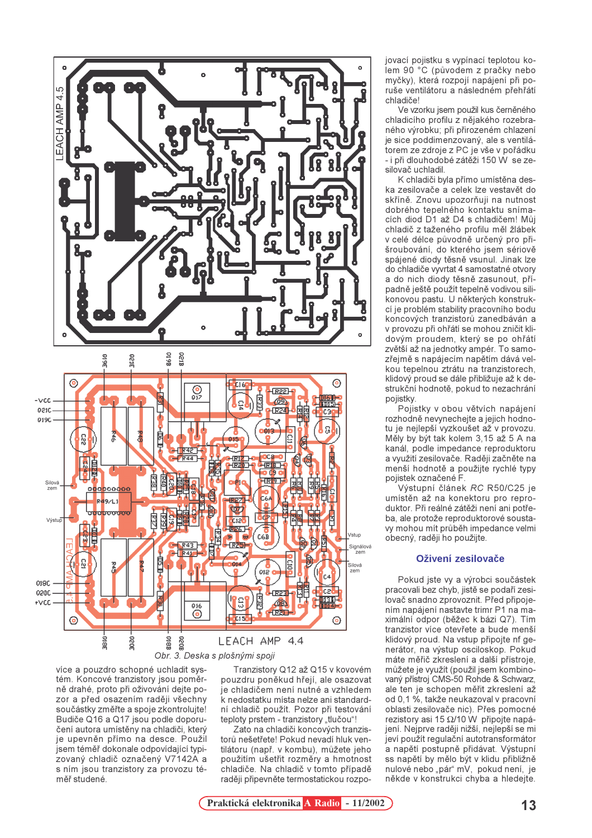

více a pouzdro schopné uchladit systém. Koncové tranzistory jsou poměrně drahé, proto při oživování dejte pozor a před osazením raději všechny součástky změřte a spoje zkontrolujte! Budiče Q16 a Q17 jsou podle doporučení autora umístěny na chladiči, který je upevněn přímo na desce. Použil jsem téměř dokonale odpovídající typizovaný chladič označený V7142A a s ním jsou tranzistory za provozu téměř studené.

Tranzistory Q12 až Q15 v kovovém pouzdru poněkud hřejí, ale osazovat ie chladičem není nutné a vzhledem k nedostatku místa nelze ani standardní chladič použít. Pozor při testování teploty prstem - tranzistory "tlučou"!

Zato na chladiči koncových tranzistorů nešetřete! Pokud nevadí hluk ventilátoru (např. v kombu), můžete jeho použitím ušetřit rozměry a hmotnost chladiče. Na chladič v tomto případě raději připevněte termostatickou rozpojovací pojistku s vypínací teplotou kolem 90 °C (původem z pračky nebo myčky), která rozpojí napájení při poruše ventilátoru a následném přehřátí chladiče!

Ve vzorku jsem použil kus černěného chladicího profilu z nějakého rozebraného výrobku; při přirozeném chlazení je sice poddimenzovaný, ale s ventilátorem ze zdroje z PC je vše v pořádku - i při dlouhodobé zátěži 150 W se zesilovač uchladil.

K chladiči byla přímo umístěna deska zesilovače a celek lze vestavět do skříně. Znovu upozorňuji na nutnost dobrého tepelného kontaktu snímacích diod D1 až D4 s chladičem! Můj chladič z taženého profilu měl žlábek v celé délce původně určený pro přišroubování, do kterého jsem sériově spájené diody těsně vsunul. Jinak lze do chladiče vyvrtat 4 samostatné otvorv a do nich diody těsně zasunout, případně ještě použít tepelně vodivou silikonovou pastu. U některých konstrukcí je problém stability pracovního bodu koncových tranzistorů zanedbáván a v provozu při ohřátí se mohou zničit klidovým proudem, který se po ohřátí zvětší až na jednotky ampér. To samozřejmě s napájecím napětím dává velkou tepelnou ztrátu na tranzistorech. klidový proud se dále přibližuje až k destrukční hodnotě, pokud to nezachrání pojistky.

Pojistky v obou větvích napájení rozhodně nevynechejte a jejich hodnotu je nejlepší vyzkoušet až v provozu. Měly by být tak kolem 3,15 až 5 A na kanál, podle impedance reproduktoru a využití zesilovače. Raději začněte na menší hodnotě a použijte rychlé typy pojistek označené F.

Výstupní článek RC R50/C25 je umístěn až na konektoru pro reproduktor. Při reálné zátěži není ani potřeba, ale protože reproduktorové soustavy mohou mít průběh impedance velmi obecný, raději ho použijte.

## Oživení zesilovače

Pokud jste vy a výrobci součástek pracovali bez chyb, jistě se podaří zesilovač snadno zprovoznit. Před připojením napájení nastavte trimr P1 na maximální odpor (běžec k bázi Q7). Tím tranzistor více otevřete a bude menší klidový proud. Na vstup připoite nf generátor, na výstup osciloskop. Pokud máte měřič zkreslení a další přístroje. můžete je využít (použil jsem kombinovaný přístroj CMS-50 Rohde & Schwarz, ale ten je schopen měřit zkreslení až od 0.1 %, takže neukazoval v pracovní oblasti zesilovače nic). Přes pomocné rezistory asi 15  $\Omega$ /10 W připojte napájení. Nejprve raději nižší, nejlepší se mi jeví použít regulační autotransformátor a napětí postupně přidávat. Výstupní ss napětí by mělo být v klidu přibližně nulové nebo "pár" mV, pokud není, je někde v konstrukci chyba a hledejte.